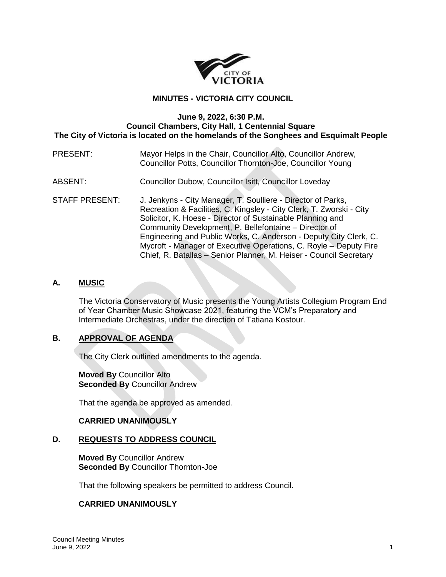

# **MINUTES - VICTORIA CITY COUNCIL**

### **June 9, 2022, 6:30 P.M. Council Chambers, City Hall, 1 Centennial Square The City of Victoria is located on the homelands of the Songhees and Esquimalt People**

## PRESENT: Mayor Helps in the Chair, Councillor Alto, Councillor Andrew, Councillor Potts, Councillor Thornton-Joe, Councillor Young

- ABSENT: Councillor Dubow, Councillor Isitt, Councillor Loveday
- STAFF PRESENT: J. Jenkyns City Manager, T. Soulliere Director of Parks, Recreation & Facilities, C. Kingsley - City Clerk, T. Zworski - City Solicitor, K. Hoese - Director of Sustainable Planning and Community Development, P. Bellefontaine – Director of Engineering and Public Works, C. Anderson - Deputy City Clerk, C. Mycroft - Manager of Executive Operations, C. Royle – Deputy Fire Chief, R. Batallas – Senior Planner, M. Heiser - Council Secretary

## **A. MUSIC**

The Victoria Conservatory of Music presents the Young Artists Collegium Program End of Year Chamber Music Showcase 2021, featuring the VCM's Preparatory and Intermediate Orchestras, under the direction of Tatiana Kostour.

# **B. APPROVAL OF AGENDA**

The City Clerk outlined amendments to the agenda.

**Moved By** Councillor Alto **Seconded By** Councillor Andrew

That the agenda be approved as amended.

### **CARRIED UNANIMOUSLY**

### **D. REQUESTS TO ADDRESS COUNCIL**

**Moved By** Councillor Andrew **Seconded By** Councillor Thornton-Joe

That the following speakers be permitted to address Council.

### **CARRIED UNANIMOUSLY**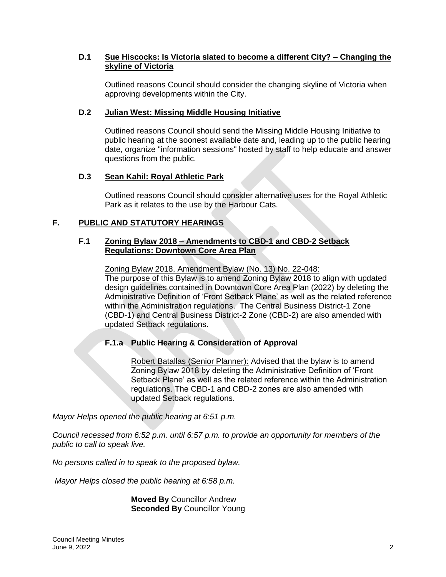# **D.1 Sue Hiscocks: Is Victoria slated to become a different City? – Changing the skyline of Victoria**

Outlined reasons Council should consider the changing skyline of Victoria when approving developments within the City.

# **D.2 Julian West: Missing Middle Housing Initiative**

Outlined reasons Council should send the Missing Middle Housing Initiative to public hearing at the soonest available date and, leading up to the public hearing date, organize "information sessions" hosted by staff to help educate and answer questions from the public.

# **D.3 Sean Kahil: Royal Athletic Park**

Outlined reasons Council should consider alternative uses for the Royal Athletic Park as it relates to the use by the Harbour Cats.

# **F. PUBLIC AND STATUTORY HEARINGS**

## **F.1 Zoning Bylaw 2018 – Amendments to CBD-1 and CBD-2 Setback Regulations: Downtown Core Area Plan**

Zoning Bylaw 2018, Amendment Bylaw (No. 13) No. 22-048: The purpose of this Bylaw is to amend Zoning Bylaw 2018 to align with updated design guidelines contained in Downtown Core Area Plan (2022) by deleting the Administrative Definition of 'Front Setback Plane' as well as the related reference within the Administration regulations. The Central Business District-1 Zone (CBD-1) and Central Business District-2 Zone (CBD-2) are also amended with updated Setback regulations.

# **F.1.a Public Hearing & Consideration of Approval**

Robert Batallas (Senior Planner): Advised that the bylaw is to amend Zoning Bylaw 2018 by deleting the Administrative Definition of 'Front Setback Plane' as well as the related reference within the Administration regulations. The CBD-1 and CBD-2 zones are also amended with updated Setback regulations.

*Mayor Helps opened the public hearing at 6:51 p.m.*

*Council recessed from 6:52 p.m. until 6:57 p.m. to provide an opportunity for members of the public to call to speak live.* 

*No persons called in to speak to the proposed bylaw.*

*Mayor Helps closed the public hearing at 6:58 p.m.*

**Moved By** Councillor Andrew **Seconded By** Councillor Young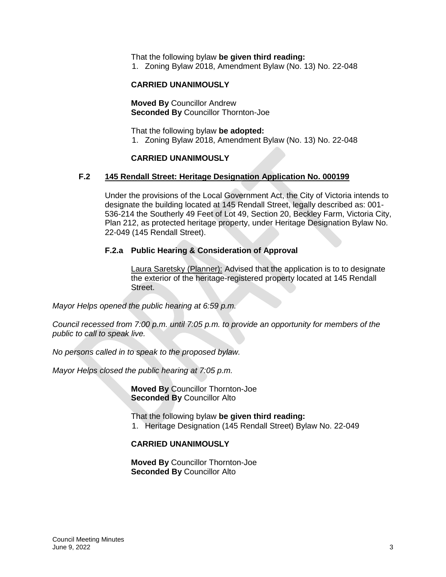That the following bylaw **be given third reading:**

1. Zoning Bylaw 2018, Amendment Bylaw (No. 13) No. 22-048

### **CARRIED UNANIMOUSLY**

**Moved By** Councillor Andrew **Seconded By** Councillor Thornton-Joe

That the following bylaw **be adopted:** 1. Zoning Bylaw 2018, Amendment Bylaw (No. 13) No. 22-048

### **CARRIED UNANIMOUSLY**

## **F.2 145 Rendall Street: Heritage Designation Application No. 000199**

Under the provisions of the Local Government Act, the City of Victoria intends to designate the building located at 145 Rendall Street, legally described as: 001- 536-214 the Southerly 49 Feet of Lot 49, Section 20, Beckley Farm, Victoria City, Plan 212, as protected heritage property, under Heritage Designation Bylaw No. 22-049 (145 Rendall Street).

### **F.2.a Public Hearing & Consideration of Approval**

Laura Saretsky (Planner): Advised that the application is to to designate the exterior of the heritage-registered property located at 145 Rendall Street.

*Mayor Helps opened the public hearing at 6:59 p.m.*

*Council recessed from 7:00 p.m. until 7:05 p.m. to provide an opportunity for members of the public to call to speak live.* 

*No persons called in to speak to the proposed bylaw.*

*Mayor Helps closed the public hearing at 7:05 p.m.*

**Moved By** Councillor Thornton-Joe **Seconded By** Councillor Alto

That the following bylaw **be given third reading:**

1. Heritage Designation (145 Rendall Street) Bylaw No. 22-049

### **CARRIED UNANIMOUSLY**

**Moved By** Councillor Thornton-Joe **Seconded By** Councillor Alto